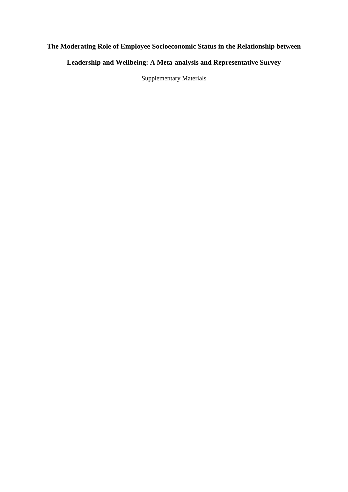# **The Moderating Role of Employee Socioeconomic Status in the Relationship between**

### **Leadership and Wellbeing: A Meta-analysis and Representative Survey**

Supplementary Materials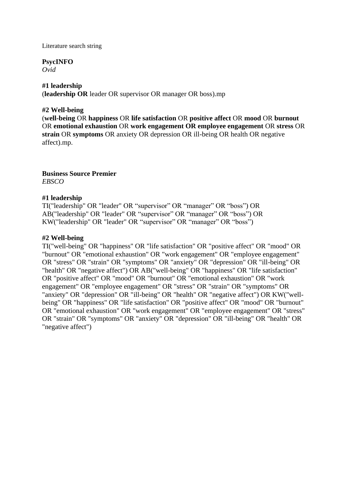Literature search string

#### **PsycINFO**

*Ovid*

#### **#1 leadership**

(**leadership OR** leader OR supervisor OR manager OR boss).mp

#### **#2 Well-being**

(**well-being** OR **happiness** OR **life satisfaction** OR **positive affect** OR **mood** OR **burnout**  OR **emotional exhaustion** OR **work engagement OR employee engagement** OR **stress** OR **strain** OR **symptoms** OR anxiety OR depression OR ill-being OR health OR negative affect).mp.

**Business Source Premier** *EBSCO*

#### **#1 leadership**

TI("leadership" OR "leader" OR "supervisor" OR "manager" OR "boss") OR AB("leadership" OR "leader" OR "supervisor" OR "manager" OR "boss") OR KW("leadership" OR "leader" OR "supervisor" OR "manager" OR "boss")

#### **#2 Well-being**

TI("well-being" OR "happiness" OR "life satisfaction" OR "positive affect" OR "mood" OR "burnout" OR "emotional exhaustion" OR "work engagement" OR "employee engagement" OR "stress" OR "strain" OR "symptoms" OR "anxiety" OR "depression" OR "ill-being" OR "health" OR "negative affect") OR AB("well-being" OR "happiness" OR "life satisfaction" OR "positive affect" OR "mood" OR "burnout" OR "emotional exhaustion" OR "work engagement" OR "employee engagement" OR "stress" OR "strain" OR "symptoms" OR "anxiety" OR "depression" OR "ill-being" OR "health" OR "negative affect") OR KW("wellbeing" OR "happiness" OR "life satisfaction" OR "positive affect" OR "mood" OR "burnout" OR "emotional exhaustion" OR "work engagement" OR "employee engagement" OR "stress" OR "strain" OR "symptoms" OR "anxiety" OR "depression" OR "ill-being" OR "health" OR "negative affect")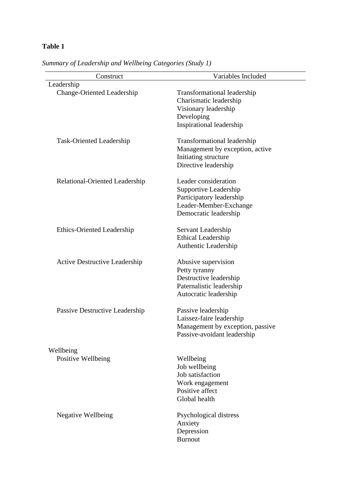| Construct                            | Variables Included                                                                                                           |
|--------------------------------------|------------------------------------------------------------------------------------------------------------------------------|
| Leadership                           |                                                                                                                              |
| <b>Change-Oriented Leadership</b>    | Transformational leadership<br>Charismatic leadership<br>Visionary leadership<br>Developing<br>Inspirational leadership      |
| Task-Oriented Leadership             | <b>Transformational leadership</b><br>Management by exception, active<br>Initiating structure<br>Directive leadership        |
| Relational-Oriented Leadership       | Leader consideration<br>Supportive Leadership<br>Participatory leadership<br>Leader-Member-Exchange<br>Democratic leadership |
| <b>Ethics-Oriented Leadership</b>    | Servant Leadership<br><b>Ethical Leadership</b><br><b>Authentic Leadership</b>                                               |
| <b>Active Destructive Leadership</b> | Abusive supervision<br>Petty tyranny<br>Destructive leadership<br>Paternalistic leadership<br>Autocratic leadership          |
| Passive Destructive Leadership       | Passive leadership<br>Laissez-faire leadership<br>Management by exception, passive<br>Passive-avoidant leadership            |
| Wellbeing                            |                                                                                                                              |
| Positive Wellbeing                   | Wellbeing<br>Job wellbeing<br>Job satisfaction<br>Work engagement<br>Positive affect<br>Global health                        |
| <b>Negative Wellbeing</b>            | Psychological distress<br>Anxiety<br>Depression<br><b>Burnout</b>                                                            |

*Summary of Leadership and Wellbeing Categories (Study 1)*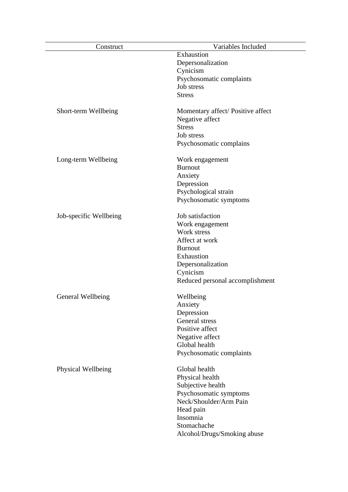| Construct              | Variables Included               |
|------------------------|----------------------------------|
|                        | Exhaustion                       |
|                        | Depersonalization                |
|                        | Cynicism                         |
|                        | Psychosomatic complaints         |
|                        | Job stress                       |
|                        | <b>Stress</b>                    |
|                        |                                  |
| Short-term Wellbeing   | Momentary affect/Positive affect |
|                        | Negative affect                  |
|                        | <b>Stress</b>                    |
|                        | Job stress                       |
|                        | Psychosomatic complains          |
|                        |                                  |
| Long-term Wellbeing    | Work engagement                  |
|                        | <b>Burnout</b>                   |
|                        | Anxiety                          |
|                        | Depression                       |
|                        | Psychological strain             |
|                        | Psychosomatic symptoms           |
|                        |                                  |
| Job-specific Wellbeing | Job satisfaction                 |
|                        | Work engagement                  |
|                        | Work stress                      |
|                        | Affect at work                   |
|                        | <b>Burnout</b>                   |
|                        | Exhaustion                       |
|                        | Depersonalization                |
|                        | Cynicism                         |
|                        | Reduced personal accomplishment  |
|                        |                                  |
| General Wellbeing      | Wellbeing                        |
|                        | Anxiety                          |
|                        | Depression                       |
|                        | General stress                   |
|                        | Positive affect                  |
|                        | Negative affect                  |
|                        | Global health                    |
|                        | Psychosomatic complaints         |
|                        |                                  |
| Physical Wellbeing     | Global health                    |
|                        | Physical health                  |
|                        | Subjective health                |
|                        | Psychosomatic symptoms           |
|                        | Neck/Shoulder/Arm Pain           |
|                        | Head pain                        |
|                        | Insomnia                         |
|                        | Stomachache                      |
|                        | Alcohol/Drugs/Smoking abuse      |
|                        |                                  |

 $\overline{\phantom{a}}$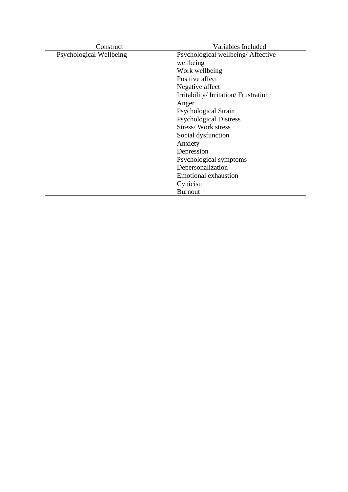| Construct               | Variables Included                  |
|-------------------------|-------------------------------------|
| Psychological Wellbeing | Psychological wellbeing/Affective   |
|                         | wellbeing                           |
|                         | Work wellbeing                      |
|                         | Positive affect                     |
|                         | Negative affect                     |
|                         | Irritability/Irritation/Frustration |
|                         | Anger                               |
|                         | Psychological Strain                |
|                         | <b>Psychological Distress</b>       |
|                         | <b>Stress/Work stress</b>           |
|                         | Social dysfunction                  |
|                         | Anxiety                             |
|                         | Depression                          |
|                         | Psychological symptoms              |
|                         | Depersonalization                   |
|                         | <b>Emotional exhaustion</b>         |
|                         | Cynicism                            |
|                         | <b>Burnout</b>                      |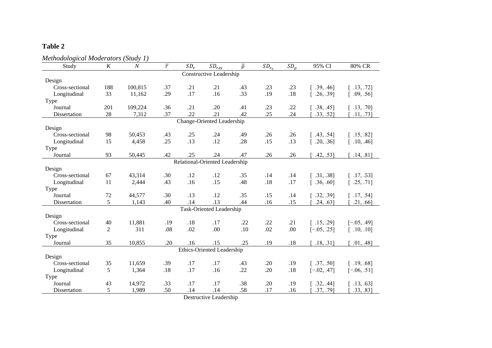| Methodological Moderators (Study 1)<br>Study | K              | $\boldsymbol{N}$ | $\overline{r}$ | $SD_r$ | $SD_{res}$                        | $\overline{p}$ | $SD_{r_c}$ | SD <sub>0</sub> | 95% CI        | 80% CR        |
|----------------------------------------------|----------------|------------------|----------------|--------|-----------------------------------|----------------|------------|-----------------|---------------|---------------|
|                                              |                |                  |                |        | Constructive Leadership           |                |            |                 |               |               |
| Design                                       |                |                  |                |        |                                   |                |            |                 |               |               |
| Cross-sectional                              | 188            | 100,815          | .37            | .21    | .21                               | .43            | .23        | .23             | [.39, .46]    | [.13, .72]    |
| Longitudinal                                 | 33             | 11,162           | .29            | .17    | .16                               | .33            | .19        | .18             | [.26, .39]    | [.09, .56]    |
| Type                                         |                |                  |                |        |                                   |                |            |                 |               |               |
| Journal                                      | 201            | 109,224          | .36            | .21    | .20                               | .41            | .23        | .22             | [.38, .45]    | [.13, .70]    |
| Dissertation                                 | 28             | 7,312            | .37            | .22    | .21                               | .42            | .25        | .24             | .33, .52]     | .11, .73]     |
|                                              |                |                  |                |        | Change-Oriented Leadership        |                |            |                 |               |               |
| Design                                       |                |                  |                |        |                                   |                |            |                 |               |               |
| Cross-sectional                              | 98             | 50,453           | .43            | .25    | .24                               | .49            | .26        | .26             | [.43, .54]    | [.15, .82]    |
| Longitudinal                                 | 15             | 4,458            | .25            | .13    | .12                               | .28            | .15        | .13             | [.20, .36]    | [.10, .46]    |
| Type                                         |                |                  |                |        |                                   |                |            |                 |               |               |
| Journal                                      | 93             | 50,445           | .42            | .25    | .24                               | .47            | .26        | .26             | .42, .53]     | .14, .81]     |
|                                              |                |                  |                |        | Relational-Oriented Leadership    |                |            |                 |               |               |
| Design                                       |                |                  |                |        |                                   |                |            |                 |               |               |
| Cross-sectional                              | 67             | 43,314           | .30            | .12    | .12                               | .35            | .14        | .14             | [.31, .38]    | [.17, .53]    |
| Longitudinal                                 | 11             | 2,444            | .43            | .16    | .15                               | .48            | .18        | .17             | [.36, .60]    | [.25, .71]    |
| Type                                         |                |                  |                |        |                                   |                |            |                 |               |               |
| Journal                                      | 72             | 44,577           | .30            | .13    | .12                               | .35            | .15        | .14             | [.32, .39]    | [.17, .54]    |
| Dissertation                                 | 5              | 1,143            | .40            | .14    | .13                               | .44            | .16        | .15             | .24, .63]     | .21, .66]     |
|                                              |                |                  |                |        | <b>Task-Oriented Leadership</b>   |                |            |                 |               |               |
| Design                                       |                |                  |                |        |                                   |                |            |                 |               |               |
| Cross-sectional                              | 40             | 11,881           | .19            | .18    | .17                               | .22            | .22        | .21             | [.15, .29]    | $[-.05, .49]$ |
| Longitudinal                                 | $\overline{2}$ | 311              | .08            | .02    | .00                               | .10            | .02        | .00             | $[-.05, .25]$ | [.10, .10]    |
| Type                                         |                |                  |                |        |                                   |                |            |                 |               |               |
| Journal                                      | 35             | 10,855           | .20            | .16    | .15                               | .25            | .19        | .18             | .18, .31]     | .01, .48]     |
|                                              |                |                  |                |        | <b>Ethics-Oriented Leadership</b> |                |            |                 |               |               |
| Design                                       |                |                  |                |        |                                   |                |            |                 |               |               |
| Cross-sectional                              | 35             | 11,659           | .39            | .17    | .17                               | .43            | .20        | .19             | [.37, .50]    | [.19, .68]    |
| Longitudinal                                 | 5              | 1,364            | .18            | .17    | .16                               | .22            | .20        | $.18\,$         | $[-.02, .47]$ | $[-.06, .51]$ |
| Type                                         |                |                  |                |        |                                   |                |            |                 |               |               |
| Journal                                      | 43             | 14,972           | .33            | .17    | .17                               | .38            | .20        | .19             | [.32, .44]    | [.13, .63]    |
| Dissertation                                 | 5              | 1,989            | .50            | .14    | .14                               | .58            | .17        | .16             | $.37, .79$ ]  | .33, .83]     |

Destructive Leadership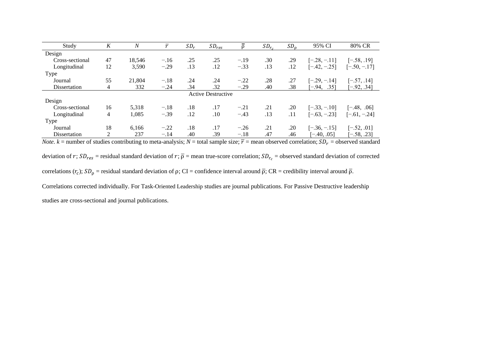| Study           | K              | N      | $\overline{r}$ | $SD_r$ | $SD_{res}$                |        | $SD_{r_c}$ | SD <sub>0</sub> | 95% CI         | 80% CR         |
|-----------------|----------------|--------|----------------|--------|---------------------------|--------|------------|-----------------|----------------|----------------|
| Design          |                |        |                |        |                           |        |            |                 |                |                |
| Cross-sectional | 47             | 18.546 | $-.16$         | .25    | .25                       | $-.19$ | .30        | .29             | $[-.28, -.11]$ | $[-.58, .19]$  |
| Longitudinal    | 12             | 3,590  | $-.29$         | .13    | .12                       | $-.33$ | .13        | .12             | $[-.42, -.25]$ | $[-.50, -.17]$ |
| Type            |                |        |                |        |                           |        |            |                 |                |                |
| Journal         | 55             | 21,804 | $-.18$         | .24    | .24                       | $-.22$ | .28        | .27             | $[-.29, -.14]$ | $[-.57, .14]$  |
| Dissertation    | 4              | 332    | $-.24$         | .34    | .32                       | $-.29$ | .40        | .38             | $-94,$<br>.351 | $[-.92, .34]$  |
|                 |                |        |                |        | <b>Active Destructive</b> |        |            |                 |                |                |
| Design          |                |        |                |        |                           |        |            |                 |                |                |
| Cross-sectional | 16             | 5,318  | $-.18$         | .18    | .17                       | $-.21$ | .21        | .20             | $[-.33, -.10]$ | $[-.48, .06]$  |
| Longitudinal    | $\overline{4}$ | 1,085  | $-.39$         | .12    | .10                       | $-.43$ | .13        | .11             | $[-.63, -.23]$ | $[-.61, -.24]$ |
| Type            |                |        |                |        |                           |        |            |                 |                |                |
| Journal         | 18             | 6,166  | $-.22$         | .18    | .17                       | $-.26$ | .21        | .20             | $[-.36, -.15]$ | $[-.52, .01]$  |
| Dissertation    |                | 237    | $-.14$         | .40    | .39                       | $-.18$ | .47        | .46             | $-40.05$       | $[-.58, .23]$  |

*Note.*  $k$  = number of studies contributing to meta-analysis;  $N$  = total sample size;  $\overline{r}$  = mean observed correlation;  $SD_r$  = observed standard

deviation of  $r$ ;  $SD_{res}$  = residual standard deviation of  $r$ ;  $\bar{\rho}$  = mean true-score correlation;  $SD_{r_c}$  = observed standard deviation of corrected

correlations  $(r_c)$ ;  $SD_\rho$  = residual standard deviation of  $\rho$ ; CI = confidence interval around  $\overline{\rho}$ ; CR = credibility interval around  $\overline{\rho}$ .

Correlations corrected individually. For Task-Oriented Leadership studies are journal publications. For Passive Destructive leadership

studies are cross-sectional and journal publications.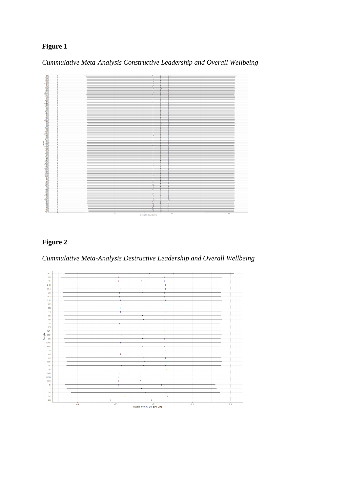*Cummulative Meta-Analysis Constructive Leadership and Overall Wellbeing*



## **Figure 2**

*Cummulative Meta-Analysis Destructive Leadership and Overall Wellbeing*

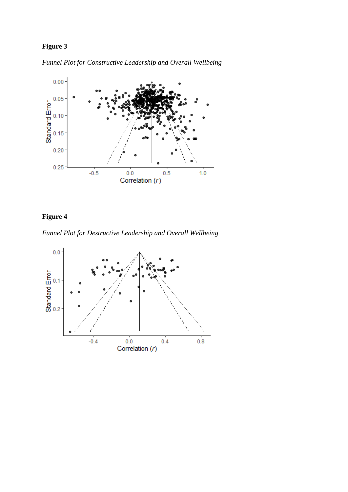*Funnel Plot for Constructive Leadership and Overall Wellbeing*



# **Figure 4**

*Funnel Plot for Destructive Leadership and Overall Wellbeing*

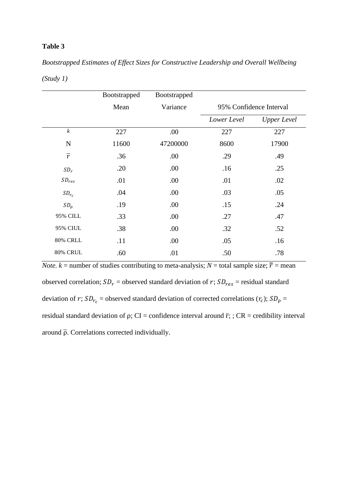*Bootstrapped Estimates of Effect Sizes for Constructive Leadership and Overall Wellbeing*

|                  | Bootstrapped | Bootstrapped |                         |                    |
|------------------|--------------|--------------|-------------------------|--------------------|
|                  | Mean         | Variance     | 95% Confidence Interval |                    |
|                  |              |              | Lower Level             | <b>Upper Level</b> |
| $\boldsymbol{k}$ | 227          | .00          | 227                     | 227                |
| $\mathbf N$      | 11600        | 47200000     | 8600                    | 17900              |
| $\overline{r}$   | .36          | .00          | .29                     | .49                |
| $SD_r$           | .20          | .00          | .16                     | .25                |
| $SD_{res}$       | .01          | .00          | .01                     | .02                |
| $SD_{r_c}$       | .04          | .00          | .03                     | .05                |
| SD <sub>0</sub>  | .19          | .00          | .15                     | .24                |
| 95% CILL         | .33          | .00          | .27                     | .47                |
| <b>95% CIUL</b>  | .38          | .00          | .32                     | .52                |
| <b>80% CRLL</b>  | .11          | .00          | .05                     | .16                |
| 80% CRUL         | .60          | .01          | .50                     | .78                |

*(Study 1)*

*Note.*  $k$  = number of studies contributing to meta-analysis;  $N$  = total sample size;  $\overline{r}$  = mean observed correlation;  $SD_r$  = observed standard deviation of r;  $SD_{res}$  = residual standard deviation of r;  $SD_{r_c}$  = observed standard deviation of corrected correlations  $(r_c)$ ;  $SD_{\rho}$  = residual standard deviation of  $\rho$ ; CI = confidence interval around  $\overline{r}$ ; ; CR = credibility interval around  $\bar{\rho}$ . Correlations corrected individually.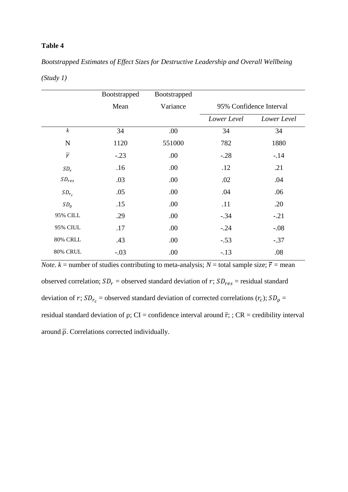*Bootstrapped Estimates of Effect Sizes for Destructive Leadership and Overall Wellbeing*

|                  | Bootstrapped | Bootstrapped |             |                         |
|------------------|--------------|--------------|-------------|-------------------------|
|                  | Mean         | Variance     |             | 95% Confidence Interval |
|                  |              |              | Lower Level | Lower Level             |
| $\boldsymbol{k}$ | 34           | .00          | 34          | 34                      |
| $\mathbf N$      | 1120         | 551000       | 782         | 1880                    |
| $\overline{r}$   | $-.23$       | .00          | $-.28$      | $-.14$                  |
| $SD_r$           | .16          | .00.         | .12         | .21                     |
| $SD_{res}$       | .03          | .00          | .02         | .04                     |
| $SD_{r_c}$       | .05          | .00          | .04         | .06                     |
| SD <sub>0</sub>  | .15          | .00          | .11         | .20                     |
| 95% CILL         | .29          | .00          | $-.34$      | $-.21$                  |
| <b>95% CIUL</b>  | .17          | .00          | $-0.24$     | $-.08$                  |
| <b>80% CRLL</b>  | .43          | .00          | $-.53$      | $-.37$                  |
| 80% CRUL         | $-.03$       | .00          | $-.13$      | .08                     |

*(Study 1)*

*Note.*  $k$  = number of studies contributing to meta-analysis;  $N$  = total sample size;  $\overline{r}$  = mean observed correlation;  $SD_r$  = observed standard deviation of r;  $SD_{res}$  = residual standard deviation of r;  $SD_{r_c}$  = observed standard deviation of corrected correlations  $(r_c)$ ;  $SD_{\rho}$  = residual standard deviation of  $\rho$ ; CI = confidence interval around  $\overline{r}$ ; ; CR = credibility interval around  $\bar{\rho}$ . Correlations corrected individually.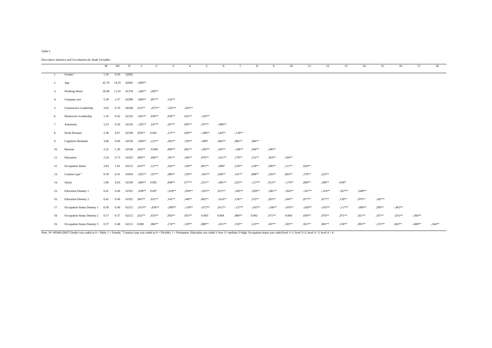|                  |                                | M     | SD    | N           | -1                 | 2.         | 3.        | $\overline{4}$ . | 5.         | 6.        | 7.        | 8.        | 9.        | 10.       | 11.       | 12.       | 13.       | 14.       | 15.       | 16.       | 17.       | 18.       |
|------------------|--------------------------------|-------|-------|-------------|--------------------|------------|-----------|------------------|------------|-----------|-----------|-----------|-----------|-----------|-----------|-----------|-----------|-----------|-----------|-----------|-----------|-----------|
| -1.              | Gender <sup>a</sup>            | 1.50  | 0.50  | 62602       |                    |            |           |                  |            |           |           |           |           |           |           |           |           |           |           |           |           |           |
| $\overline{2}$ . | Age                            | 42.70 | 14.35 | 62602       | $-.084**$          |            |           |                  |            |           |           |           |           |           |           |           |           |           |           |           |           |           |
| 3.               | <b>Working Hours</b>           | 29.00 | 11.91 | 61378       | $-346**$           | $.200**$   |           |                  |            |           |           |           |           |           |           |           |           |           |           |           |           |           |
| 4.               | Company size                   | 5.39  | 2.37  | 62389       | $-.066**$          | $0.097**$  | $,142**$  |                  |            |           |           |           |           |           |           |           |           |           |           |           |           |           |
| 5.               | Constructive Leadership        | 3.02  | 0.70  | 60348       | $,012**$           | $-0.073**$ | $-.032**$ | $-.025**$        |            |           |           |           |           |           |           |           |           |           |           |           |           |           |
| 6.               | Destructive Leadership         | 1.16  | 0.42  | 62332       | $-0.041**$         | $0.039**$  | $0.056**$ | $0.022**$        | $-.335***$ |           |           |           |           |           |           |           |           |           |           |           |           |           |
| 7.               | Autonomy                       | 2.33  | 0.50  |             | $62216 -182**$     | $,147**$   | $,207**$  | $0.095**$        | ,197**     | $-.080**$ |           |           |           |           |           |           |           |           |           |           |           |           |
| 8.               | <b>Work Pressure</b>           | 2.38  | 0.67  |             | 62358 .054** 0.001 |            | $,127**$  | $0.050**$        | $-180**$   | $,144**$  | $-.118**$ |           |           |           |           |           |           |           |           |           |           |           |
| 9.               | <b>Cognitive Demands</b>       | 3.00  | 0.69  | 62530       | $-0.046**$         | $,215**$   | $,282**$  | $,136**$         | $-.009*$   | $.066**$  | $.082**$  | $.384**$  |           |           |           |           |           |           |           |           |           |           |
| 10.              | Burnout                        | 2.22  | 1.30  | 62549       | $0.043**$          | $-0.006$   | ,090**    | $0.062**$        | $-.283**$  | $,245**$  | $-186**$  | $,394**$  | $,246**$  |           |           |           |           |           |           |           |           |           |
| 11.              | Education                      | 2.24  | 0.73  | 61922       | $0.060**$          | $0.046**$  | $.181**$  | $,166**$         | $0.076**$  | $-.011**$ | $,179**$  | $,131**$  | $,303**$  | $,104**$  |           |           |           |           |           |           |           |           |
| 12.              | <b>Occupation Status</b>       | 2.83  | 1.01  |             | 62212 .010**       | $,127**$   | ,242**    | $,158**$         | $,091**$   | $-.008*$  | $,210**$  | $,128**$  | ,396**    | $,111**$  | $,620**$  |           |           |           |           |           |           |           |
| 13.              | Contract type b                | 0.78  | 0.41  | 61854       | $-0.025**$         | $.357**$   | .286**    | $,139**$         | $-.041**$  | $0.038**$ | $,141**$  | $,098**$  | $,226**$  | $0.063**$ | $,170**$  | $,222**$  |           |           |           |           |           |           |
| 14.              | Salary                         | 1.86  | 0.63  | 62339       | $-0.069**$ 0.001   |            | $,049**$  | $077**$          | $,231**$   | $-.081**$ | $,225**$  | $-.127**$ | $,012**$  | $-.174**$ | $.069**$  | $,108**$  | 0.007     |           |           |           |           |           |
| 15.              | Education Dummy 1              | 0.41  | 0.49  | 61922       | $-.038**$ 0.007    |            | $-.018**$ | $-.050**$        | $-.052**$  | $,013**$  | $-.045**$ | $-.050**$ | $-.081**$ | $-.054**$ | $-.267**$ | $-314**$  | $-.027**$ | $-.049**$ |           |           |           |           |
| 16.              | <b>Education Dummy 2</b>       | 0.42  | 0.49  | 61922       | $0.063**$          | $.031**$   | $,142**$  | $,148**$         | $0.082**$  | $-.014**$ | $,156**$  | $,123**$  | $0.265**$ | $,104**$  | $,877**$  | $,617**$  | $,139**$  | $,076**$  | $-.697**$ |           |           |           |
| 17.              | Occupation Status Dummy 1      | 0.39  | 0.49  |             | $62212 - 0.013**$  | $-.036**$  | $-.099**$ | $-.139**$        | $-.072**$  | $,011**$  | $-.157**$ | $-.102**$ | $-196**$  | $-.076**$ | $-.429**$ | $-.655**$ | $-.117**$ | $-.090**$ | $,290**$  | $-.463**$ |           |           |
| 18.              | Occupation Status Dummy 2 0.17 |       | 0.37  | 62212       | $0.022**$          | $.033**$   | $0.056**$ | $0.055**$        | $-0.003$   | 0.004     | $0.080**$ | 0.002     | $,071**$  | $-0.004$  | $0.30**$  | $,076**$  | $.071**$  | $,021**$  | $,107**$  | $-.031**$ | $-.360**$ |           |
| 19.              | Occupation Status Dummy 3 0.37 |       | 0.48  | 62212 0.000 |                    | $.084**$   | $,174**$  | $,129**$         | $.089**$   | $-.011**$ | $,159**$  | $.123**$  | $.307**$  | $,105**$  | $.561**$  | $,881**$  | $.158**$  | $.095**$  | $-.372**$ | $.602**$  | $-.608**$ | $-.344**$ |

Note. N= 60348-62602 Gender was coded as 0 = Male; 1 = Female. Contract type was coded as 0 = Flexible; 1 = Permanent. Education was coded 1=low 2= medium 3=high; Occupation status was coded elvel 1=1; level 2=2; level 3=3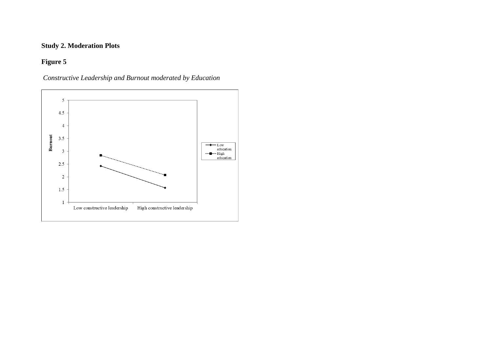## **Study 2. Moderation Plots**

## **Figure 5**



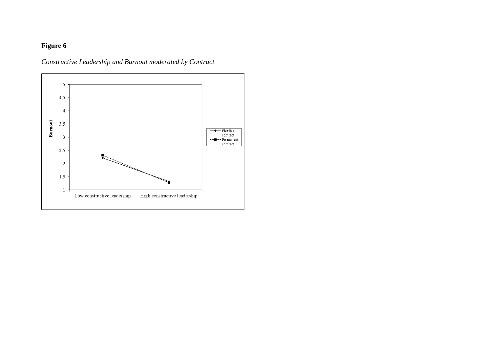### *Constructive Leadership and Burnout moderated by Contract*

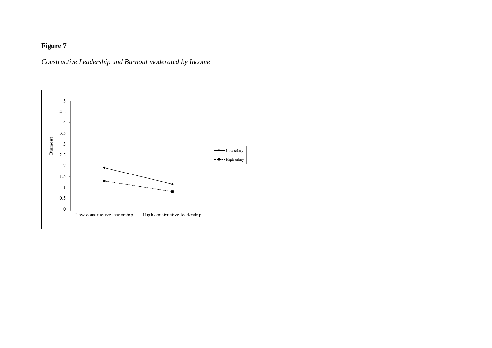*Constructive Leadership and Burnout moderated by Income*

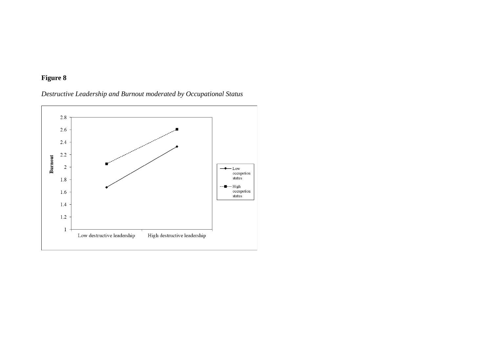### *Destructive Leadership and Burnout moderated by Occupational Status*

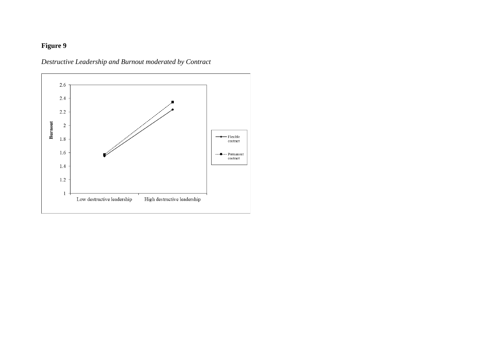*Destructive Leadership and Burnout moderated by Contract*